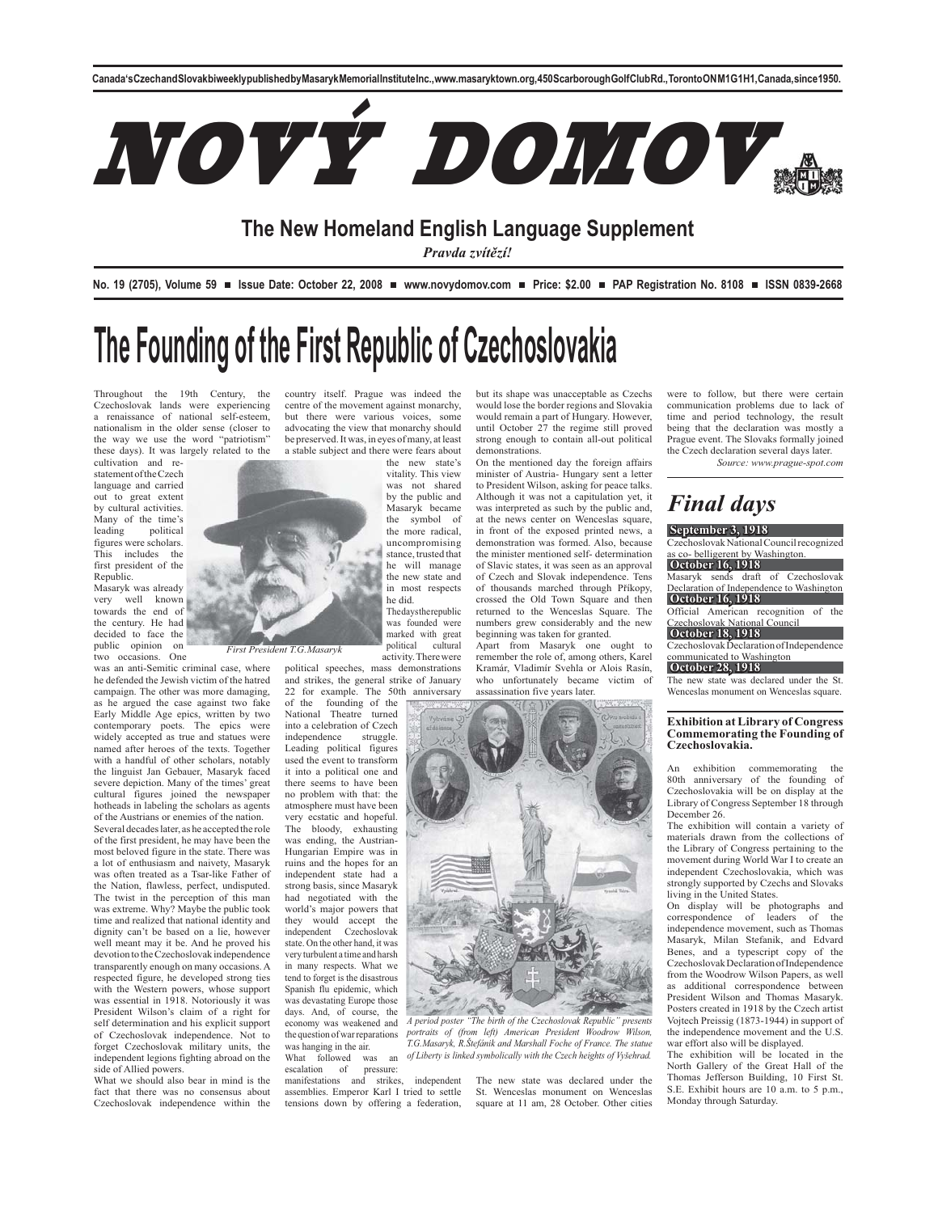

### **The New Homeland English Language Supplement**

*Pravda zvítězí!*

No. 19 (2705), Volume 59 **■** Issue Date: October 22, 2008 ■ www.novydomov.com ■ Price: \$2.00 ■ PAP Registration No. 8108 ■ ISSN 0839-2668

but its shape was unacceptable as Czechs would lose the border regions and Slovakia would remain a part of Hungary. However, until October 27 the regime still proved strong enough to contain all-out political

On the mentioned day the foreign affairs minister of Austria- Hungary sent a letter to President Wilson, asking for peace talks. Although it was not a capitulation yet, it was interpreted as such by the public and, at the news center on Wenceslas square. in front of the exposed printed news, a demonstration was formed. Also, because the minister mentioned self- determination of Slavic states, it was seen as an approval of Czech and Slovak independence. Tens of thousands marched through Příkopy, crossed the Old Town Square and then returned to the Wenceslas Square. The numbers grew considerably and the new beginning was taken for granted. Apart from Masaryk one ought to remember the role of, among others, Karel Kramár, Vladimír Svehla or Alois Rasín, who unfortunately became victim of

demonstrations.

# **The Founding of the First Republic of Czechoslovakia**

Throughout the 19th Century, the Czechoslovak lands were experiencing a renaissance of national self-esteem, nationalism in the older sense (closer to the way we use the word "patriotism" these days). It was largely related to the

cultivation and re-statement of the Czech language and carried out to great extent by cultural activities. Many of the time's<br>leading political political figures were scholars. This includes the first president of the Republic.

Masaryk was already very well known towards the end of the century. He had decided to face the public opinion on two occasions. One

was an anti-Semitic criminal case, where he defended the Jewish victim of the hatred campaign. The other was more damaging, as he argued the case against two fake Early Middle Age epics, written by two contemporary poets. The epics were widely accepted as true and statues were named after heroes of the texts. Together with a handful of other scholars, notably the linguist Jan Gebauer, Masaryk faced severe depiction. Many of the times' great cultural figures joined the newspaper hotheads in labeling the scholars as agents of the Austrians or enemies of the nation.

Several decades later, as he accepted the role of the first president, he may have been the most beloved figure in the state. There was a lot of enthusiasm and naivety, Masaryk was often treated as a Tsar-like Father of the Nation, flawless, perfect, undisputed. The twist in the perception of this man was extreme. Why? Maybe the public took time and realized that national identity and dignity can't be based on a lie, however well meant may it be. And he proved his devotion to the Czechoslovak independence transparently enough on many occasions. A respected figure, he developed strong ties with the Western powers, whose support was essential in 1918. Notoriously it was President Wilson's claim of a right for self determination and his explicit support of Czechoslovak independence. Not to forget Czechoslovak military units, the independent legions fighting abroad on the side of Allied powers.

What we should also bear in mind is the fact that there was no consensus about Czechoslovak independence within the country itself. Prague was indeed the centre of the movement against monarchy, but there were various voices, some advocating the view that monarchy should be preserved. It was, in eyes of many, at least a stable subject and there were fears about

the new state's vitality. This view was not shared by the public and Masaryk became the symbol of the more radical, uncompromising stance, trusted that he will manage the new state and in most respects he did. The days the republic

was founded were marked with great<br>political cultural cultural activity. There were

political speeches, mass demonstrations and strikes, the general strike of January 22 for example. The 50th anniversary

*First President T.G.Masaryk*

National Theatre turned into a celebration of Czech independence struggle. Leading political figures used the event to transform it into a political one and there seems to have been no problem with that: the atmosphere must have been very ecstatic and hopeful. The bloody, exhausting was ending, the Austrian-Hungarian Empire was in ruins and the hopes for an independent state had a strong basis, since Masaryk<br>had negotiated with the negotiated with the world's major powers that they would accept the independent Czechoslovak state. On the other hand, it was very turbulent a time and harsh in many respects. What we tend to forget is the disastrous Spanish flu epidemic, which was devastating Europe those days. And, of course, the economy was weakened and the question of war reparations *A period poster "The birth of the Czechoslovak Republic" presents* 

was hanging in the air. What followed was an escalation of pressure: escalation of

manifestations and strikes, independent assemblies. Emperor Karl I tried to settle tensions down by offering a federation,

The new state was declared under the St. Wenceslas monument on Wenceslas square at 11 am, 28 October. Other cities

*portraits of (from left) American President Woodrow Wilson, T.G.Masaryk, R.Štefánik and Marshall Foche of France. The statue of Liberty is linked symbolically with the Czech heights of Vyšehrad.*

were to follow, but there were certain communication problems due to lack of time and period technology, the result being that the declaration was mostly a Prague event. The Slovaks formally joined the Czech declaration several days later.

*Source: www.prague-spot.com*

## *Final days*

**September 3, 1918**  Czechoslovak National Council recognized

co- belligerent by Washington.

**October 16, 1918**  Masaryk sends draft of Czechoslovak Declaration of Independence to Washington **October 16, 1918** 

Official American recognition of the zechoslovak National Council

**October 18, 1918**  Czechoslovak Declaration of Independence

### mmunicated to Washington **October 28, 1918**

### The new state was declared under the St. Wenceslas monument on Wenceslas square.

### **Exhibition at Library of Congress Commemorating the Founding of Czechoslovakia.**

An exhibition commemorating the 80th anniversary of the founding of Czechoslovakia will be on display at the Library of Congress September 18 through December 26.

The exhibition will contain a variety of materials drawn from the collections of the Library of Congress pertaining to the movement during World War I to create an independent Czechoslovakia, which was strongly supported by Czechs and Slovaks living in the United States.

On display will be photographs and correspondence of leaders of the independence movement, such as Thomas Masaryk, Milan Stefanik, and Edvard Benes, and a typescript copy of the Czechoslovak Declaration of Independence from the Woodrow Wilson Papers, as well as additional correspondence between President Wilson and Thomas Masaryk. Posters created in 1918 by the Czech artist Vojtech Preissig (1873-1944) in support of the independence movement and the U.S. war effort also will be displayed.

The exhibition will be located in the North Gallery of the Great Hall of the Thomas Jefferson Building, 10 First St. S.E. Exhibit hours are 10 a.m. to 5 p.m., Monday through Saturday.

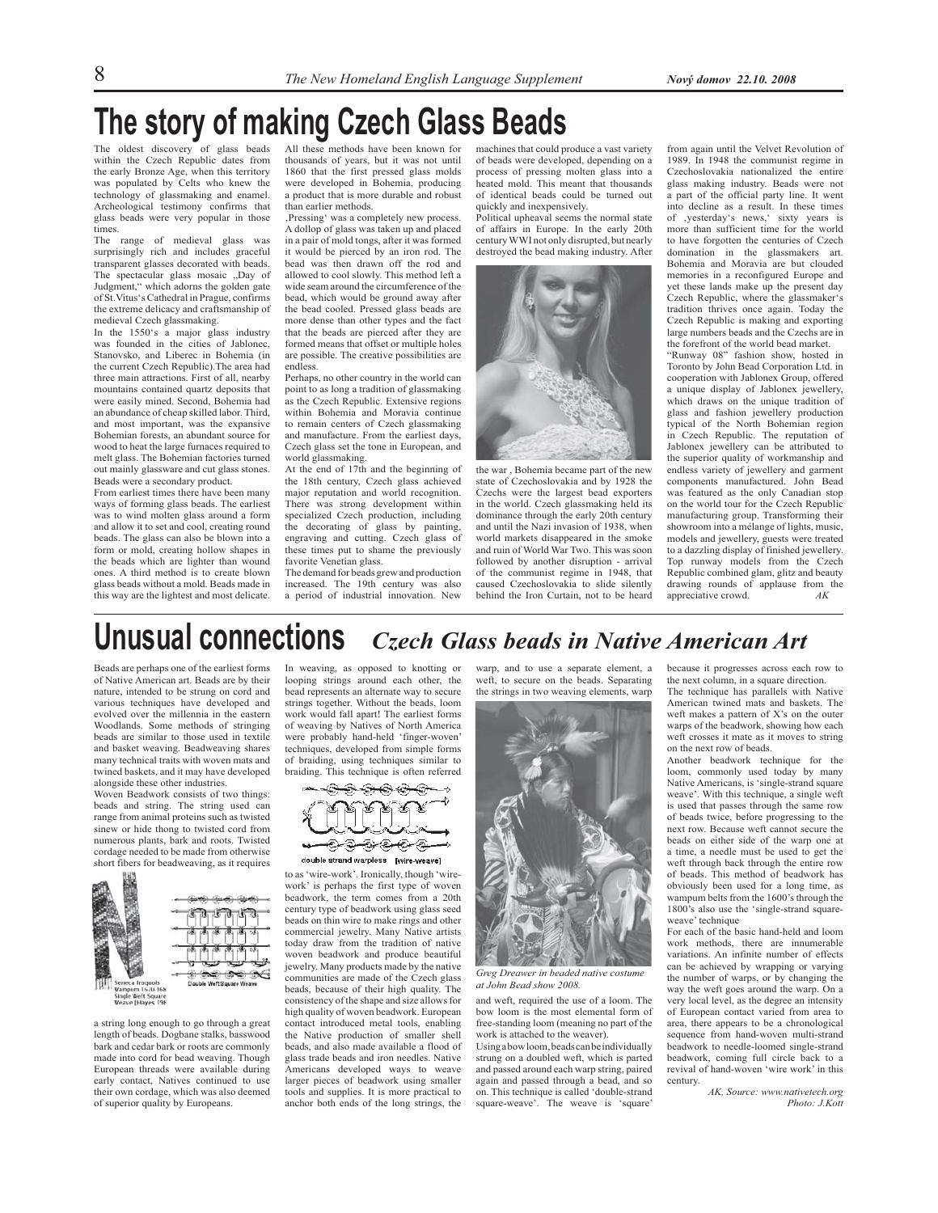## **The story of making Czech Glass Beads**

The oldest discovery of glass beads within the Czech Republic dates from the early Bronze Age, when this territory was populated by Celts who knew the technology of glassmaking and enamel. Archeological testimony confirms that glass beads were very popular in those times.

The range of medieval glass was surprisingly rich and includes graceful transparent glasses decorated with beads. The spectacular glass mosaic "Day of Judgment," which adorns the golden gate of St.Vitus's Cathedral in Prague, confirms the extreme delicacy and craftsmanship of medieval Czech glassmaking.

In the 1550's a major glass industry was founded in the cities of Jablonec, Stanovsko, and Liberec in Bohemia (in the current Czech Republic).The area had three main attractions. First of all, nearby mountains contained quartz deposits that were easily mined. Second, Bohemia had an abundance of cheap skilled labor. Third, and most important, was the expansive Bohemian forests, an abundant source for wood to heat the large furnaces required to melt glass. The Bohemian factories turned out mainly glassware and cut glass stones. Beads were a secondary product.

From earliest times there have been many ways of forming glass beads. The earliest was to wind molten glass around a form and allow it to set and cool, creating round beads. The glass can also be blown into a form or mold, creating hollow shapes in the beads which are lighter than wound ones. A third method is to create blown glass beads without a mold. Beads made in this way are the lightest and most delicate.

All these methods have been known for thousands of years, but it was not until 1860 that the first pressed glass molds were developed in Bohemia, producing a product that is more durable and robust than earlier methods.

'Pressing' was a completely new process. A dollop of glass was taken up and placed in a pair of mold tongs, after it was formed it would be pierced by an iron rod. The bead was then drawn off the rod and allowed to cool slowly. This method left a wide seam around the circumference of the bead, which would be ground away after the bead cooled. Pressed glass beads are more dense than other types and the fact that the beads are pierced after they are formed means that offset or multiple holes are possible. The creative possibilities are endless.

Perhaps, no other country in the world can point to as long a tradition of glassmaking as the Czech Republic. Extensive regions within Bohemia and Moravia continue to remain centers of Czech glassmaking and manufacture. From the earliest days, Czech glass set the tone in European, and world glassmaking.

At the end of 17th and the beginning of the 18th century, Czech glass achieved major reputation and world recognition. There was strong development within specialized Czech production, including the decorating of glass by painting, engraving and cutting. Czech glass of these times put to shame the previously favorite Venetian glass.

The demand for beads grew and production increased. The 19th century was also a period of industrial innovation. New

machines that could produce a vast variety of beads were developed, depending on a process of pressing molten glass into a heated mold. This meant that thousands of identical beads could be turned out quickly and inexpensively.

Political upheaval seems the normal state of affairs in Europe. In the early 20th century WWI not only disrupted, but nearly destroyed the bead making industry. After



the war , Bohemia became part of the new state of Czechoslovakia and by 1928 the Czechs were the largest bead exporters in the world. Czech glassmaking held its dominance through the early 20th century and until the Nazi invasion of 1938, when world markets disappeared in the smoke and ruin of World War Two. This was soon followed by another disruption - arrival of the communist regime in 1948, that caused Czechoslovakia to slide silently behind the Iron Curtain, not to be heard from again until the Velvet Revolution of 1989. In 1948 the communist regime in Czechoslovakia nationalized the entire glass making industry. Beads were not a part of the official party line. It went into decline as a result. In these times of ,yesterday's news,' sixty years is more than sufficient time for the world to have forgotten the centuries of Czech domination in the glassmakers art. Bohemia and Moravia are but clouded memories in a reconfigured Europe and yet these lands make up the present day Czech Republic, where the glassmaker's tradition thrives once again. Today the Czech Republic is making and exporting large numbers beads and the Czechs are in the forefront of the world bead market.

"Runway 08" fashion show, hosted in Toronto by John Bead Corporation Ltd. in cooperation with Jablonex Group, offered a unique display of Jablonex jewellery, which draws on the unique tradition of glass and fashion jewellery production typical of the North Bohemian region in Czech Republic. The reputation of Jablonex jewellery can be attributed to the superior quality of workmanship and endless variety of jewellery and garment components manufactured. John Bead was featured as the only Canadian stop on the world tour for the Czech Republic manufacturing group. Transforming their showroom into a mélange of lights, music, models and jewellery, guests were treated to a dazzling display of finished jewellery. Top runway models from the Czech Republic combined glam, glitz and beauty drawing rounds of applause from the appreciative crowd. *AK*

### *Czech Glass beads in Native American Art* **Unusual connections**

Beads are perhaps one of the earliest forms of Native American art. Beads are by their nature, intended to be strung on cord and various techniques have developed and evolved over the millennia in the eastern Woodlands. Some methods of stringing beads are similar to those used in textile and basket weaving. Beadweaving shares many technical traits with woven mats and twined baskets, and it may have developed alongside these other industries.

Woven Beadwork consists of two things: beads and string. The string used can range from animal proteins such as twisted sinew or hide thong to twisted cord from numerous plants, bark and roots. Twisted cordage needed to be made from otherwise short fibers for beadweaving, as it requires



a string long enough to go through a great length of beads. Dogbane stalks, basswood bark and cedar bark or roots are commonly made into cord for bead weaving. Though European threads were available during early contact, Natives continued to use their own cordage, which was also deemed of superior quality by Europeans.

In weaving, as opposed to knotting or looping strings around each other, the bead represents an alternate way to secure strings together. Without the beads, loom work would fall apart! The earliest forms of weaving by Natives of North America were probably hand-held 'finger-woven' techniques, developed from simple forms of braiding, using techniques similar to braiding. This technique is often referred



double strand warpless [wire-weave]

to as 'wire-work'. Ironically, though 'wirework' is perhaps the first type of woven beadwork, the term comes from a 20th century type of beadwork using glass seed beads on thin wire to make rings and other commercial jewelry. Many Native artists today draw from the tradition of native woven beadwork and produce beautiful jewelry. Many products made by the native communities are made of the Czech glass beads, because of their high quality. The consistency of the shape and size allows for high quality of woven beadwork. European contact introduced metal tools, enabling the Native production of smaller shell beads, and also made available a flood of glass trade beads and iron needles. Native Americans developed ways to weave larger pieces of beadwork using smaller tools and supplies. It is more practical to anchor both ends of the long strings, the

warp, and to use a separate element, a weft, to secure on the beads. Separating the strings in two weaving elements, warp



*Greg Dreawer in beaded native costume at John Bead show 2008.*

and weft, required the use of a loom. The bow loom is the most elemental form of free-standing loom (meaning no part of the work is attached to the weaver).

Using a bow loom, beads can be individually strung on a doubled weft, which is parted and passed around each warp string, paired again and passed through a bead, and so on. This technique is called 'double-strand square-weave'. The weave is 'square'

because it progresses across each row to the next column, in a square direction. The technique has parallels with Native American twined mats and baskets. The weft makes a pattern of X's on the outer

warps of the beadwork, showing how each weft crosses it mate as it moves to string on the next row of beads. Another beadwork technique for the

loom, commonly used today by many Native Americans, is 'single-strand square weave'. With this technique, a single weft is used that passes through the same row of beads twice, before progressing to the next row. Because weft cannot secure the beads on either side of the warp one at a time, a needle must be used to get the weft through back through the entire row of beads. This method of beadwork has obviously been used for a long time, as wampum belts from the 1600's through the 1800's also use the 'single-strand squareweave' technique

For each of the basic hand-held and loom work methods, there are innumerable variations. An infinite number of effects can be achieved by wrapping or varying the number of warps, or by changing the way the weft goes around the warp. On a very local level, as the degree an intensity of European contact varied from area to area, there appears to be a chronological sequence from hand-woven multi-strand beadwork to needle-loomed single-strand beadwork, coming full circle back to a revival of hand-woven 'wire work' in this century.

*AK, Source: www.nativetech.org Photo: J.Kott*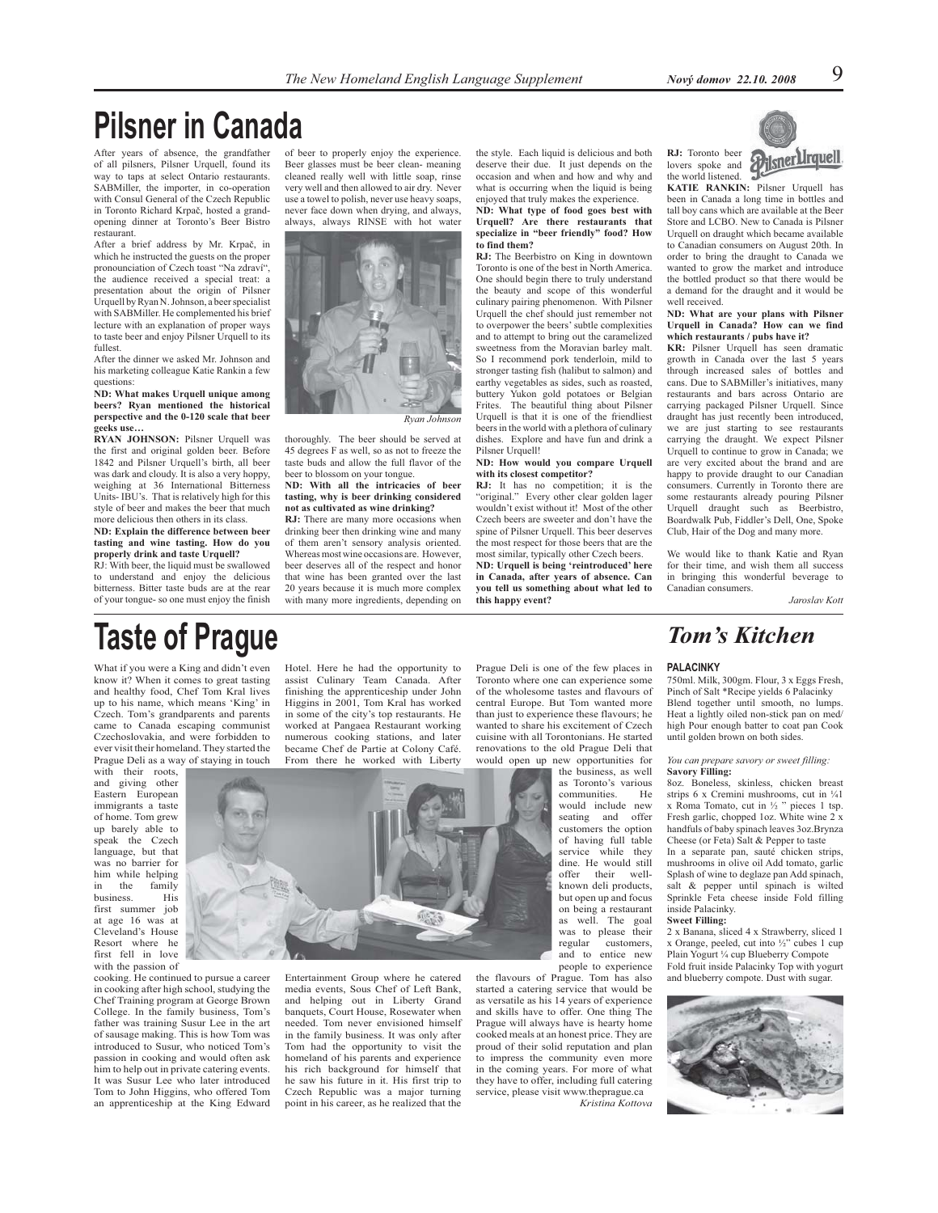## **Pilsner in Canada**

After years of absence, the grandfather of all pilsners, Pilsner Urquell, found its way to taps at select Ontario restaurants. SABMiller, the importer, in co-operation with Consul General of the Czech Republic in Toronto Richard Krpač, hosted a grandopening dinner at Toronto's Beer Bistro restaurant.

After a brief address by Mr. Krpač, in which he instructed the guests on the proper pronounciation of Czech toast "Na zdraví", the audience received a special treat: a presentation about the origin of Pilsner Urquell by Ryan N. Johnson, a beer specialist with SABMiller. He complemented his brief lecture with an explanation of proper ways to taste beer and enjoy Pilsner Urquell to its fullest.

After the dinner we asked Mr. Johnson and his marketing colleague Katie Rankin a few questions:

**ND: What makes Urquell unique among beers? Ryan mentioned the historical perspective and the 0-120 scale that beer geeks use…**

**RYAN JOHNSON:** Pilsner Urquell was the first and original golden beer. Before 1842 and Pilsner Urquell's birth, all beer was dark and cloudy. It is also a very hoppy, weighing at 36 International Bitterness Units- IBU's. That is relatively high for this style of beer and makes the beer that much more delicious then others in its class.

**ND: Explain the difference between beer tasting and wine tasting. How do you properly drink and taste Urquell?**

RJ: With beer, the liquid must be swallowed to understand and enjoy the delicious bitterness. Bitter taste buds are at the rear of your tongue- so one must enjoy the finish

of beer to properly enjoy the experience. Beer glasses must be beer clean- meaning cleaned really well with little soap, rinse very well and then allowed to air dry. Never use a towel to polish, never use heavy soaps, never face down when drying, and always, always, always RINSE with hot water



thoroughly. The beer should be served at 45 degrees F as well, so as not to freeze the taste buds and allow the full flavor of the beer to blossom on your tongue.

**ND: With all the intricacies of beer tasting, why is beer drinking considered not as cultivated as wine drinking?**

**RJ:** There are many more occasions when drinking beer then drinking wine and many of them aren't sensory analysis oriented. Whereas most wine occasions are. However, beer deserves all of the respect and honor that wine has been granted over the last 20 years because it is much more complex with many more ingredients, depending on

the style. Each liquid is delicious and both deserve their due. It just depends on the occasion and when and how and why and what is occurring when the liquid is being enjoyed that truly makes the experience. **ND: What type of food goes best with Urquell? Are there restaurants that specialize in "beer friendly" food? How to find them?**

**RJ:** The Beerbistro on King in downtown Toronto is one of the best in North America. One should begin there to truly understand the beauty and scope of this wonderful culinary pairing phenomenon. With Pilsner Urquell the chef should just remember not to overpower the beers' subtle complexities and to attempt to bring out the caramelized sweetness from the Moravian barley malt. So I recommend pork tenderloin, mild to stronger tasting fish (halibut to salmon) and earthy vegetables as sides, such as roasted, buttery Yukon gold potatoes or Belgian Frites. The beautiful thing about Pilsner Urquell is that it is one of the friendliest beers in the world with a plethora of culinary dishes. Explore and have fun and drink a Pilsner Urquell!

### **ND: How would you compare Urquell with its closest competitor?**

**RJ:** It has no competition; it is the "original." Every other clear golden lager wouldn't exist without it! Most of the other Czech beers are sweeter and don't have the spine of Pilsner Urquell. This beer deserves the most respect for those beers that are the most similar, typically other Czech beers. **ND: Urquell is being 'reintroduced' here in Canada, after years of absence. Can you tell us something about what led to this happy event?**



**KATIE RANKIN:** Pilsner Urquell has been in Canada a long time in bottles and tall boy cans which are available at the Beer Store and LCBO. New to Canada is Pilsner Urquell on draught which became available to Canadian consumers on August 20th. In order to bring the draught to Canada we wanted to grow the market and introduce the bottled product so that there would be a demand for the draught and it would be well received.

### **ND: What are your plans with Pilsner Urquell in Canada? How can we find which restaurants / pubs have it?**

**KR:** Pilsner Urquell has seen dramatic growth in Canada over the last 5 years through increased sales of bottles and cans. Due to SABMiller's initiatives, many restaurants and bars across Ontario are carrying packaged Pilsner Urquell. Since draught has just recently been introduced, we are just starting to see restaurants carrying the draught. We expect Pilsner Urquell to continue to grow in Canada; we are very excited about the brand and are happy to provide draught to our Canadian consumers. Currently in Toronto there are some restaurants already pouring Pilsner Urquell draught such as Beerbistro, Boardwalk Pub, Fiddler's Dell, One, Spoke Club, Hair of the Dog and many more.

We would like to thank Katie and Ryan for their time, and wish them all success in bringing this wonderful beverage to Canadian consumers.

*Jaroslav Kott*

## **Taste of Prague**

What if you were a King and didn't even know it? When it comes to great tasting and healthy food, Chef Tom Kral lives up to his name, which means 'King' in Czech. Tom's grandparents and parents came to Canada escaping communist Czechoslovakia, and were forbidden to ever visit their homeland. They started the Prague Deli as a way of staying in touch

with their roots, and giving other Eastern European immigrants a taste of home. Tom grew up barely able to speak the Czech language, but that was no barrier for him while helping<br>in the family in the family<br>business. His business. first summer job at age 16 was at Cleveland's House Resort where he first fell in love with the passion of

cooking. He continued to pursue a career in cooking after high school, studying the Chef Training program at George Brown College. In the family business, Tom's father was training Susur Lee in the art of sausage making. This is how Tom was introduced to Susur, who noticed Tom's passion in cooking and would often ask him to help out in private catering events. It was Susur Lee who later introduced Tom to John Higgins, who offered Tom an apprenticeship at the King Edward Hotel. Here he had the opportunity to assist Culinary Team Canada. After finishing the apprenticeship under John Higgins in 2001, Tom Kral has worked in some of the city's top restaurants. He worked at Pangaea Restaurant working numerous cooking stations, and later became Chef de Partie at Colony Café. From there he worked with Liberty



Entertainment Group where he catered media events, Sous Chef of Left Bank, and helping out in Liberty Grand banquets, Court House, Rosewater when needed. Tom never envisioned himself in the family business. It was only after Tom had the opportunity to visit the homeland of his parents and experience his rich background for himself that he saw his future in it. His first trip to Czech Republic was a major turning point in his career, as he realized that the

Prague Deli is one of the few places in Toronto where one can experience some of the wholesome tastes and flavours of central Europe. But Tom wanted more than just to experience these flavours; he wanted to share his excitement of Czech cuisine with all Torontonians. He started renovations to the old Prague Deli that would open up new opportunities for

the business, as well as Toronto's various communities. He would include new seating and offer customers the option of having full table service while they dine. He would still offer their wellknown deli products, but open up and focus on being a restaurant as well. The goal was to please their<br>regular customers. customers. and to entice new people to experience

the flavours of Prague. Tom has also started a catering service that would be as versatile as his 14 years of experience and skills have to offer. One thing The Prague will always have is hearty home cooked meals at an honest price. They are proud of their solid reputation and plan to impress the community even more in the coming years. For more of what they have to offer, including full catering service, please visit www.theprague.ca

*Kristina Kottova*

## *Tom's Kitchen*

### **PALACINKY**

750ml. Milk, 300gm. Flour, 3 x Eggs Fresh, Pinch of Salt \*Recipe yields 6 Palacinky Blend together until smooth, no lumps. Heat a lightly oiled non-stick pan on med/ high Pour enough batter to coat pan Cook until golden brown on both sides.

### *You can prepare savory or sweet filling:* **Savory Filling:**

8oz. Boneless, skinless, chicken breast strips 6 x Cremini mushrooms, cut in 1/41  $x$  Roma Tomato, cut in  $\frac{1}{2}$  " pieces 1 tsp. Fresh garlic, chopped 1oz. White wine 2 x handfuls of baby spinach leaves 3oz.Brynza Cheese (or Feta) Salt & Pepper to taste In a separate pan, sauté chicken strips, mushrooms in olive oil Add tomato, garlic Splash of wine to deglaze pan Add spinach, salt & pepper until spinach is wilted Sprinkle Feta cheese inside Fold filling inside Palacinky.

### **Sweet Filling:**

2 x Banana, sliced 4 x Strawberry, sliced 1 x Orange, peeled, cut into ½" cubes 1 cup Plain Yogurt ¼ cup Blueberry Compote Fold fruit inside Palacinky Top with yogurt and blueberry compote. Dust with sugar.